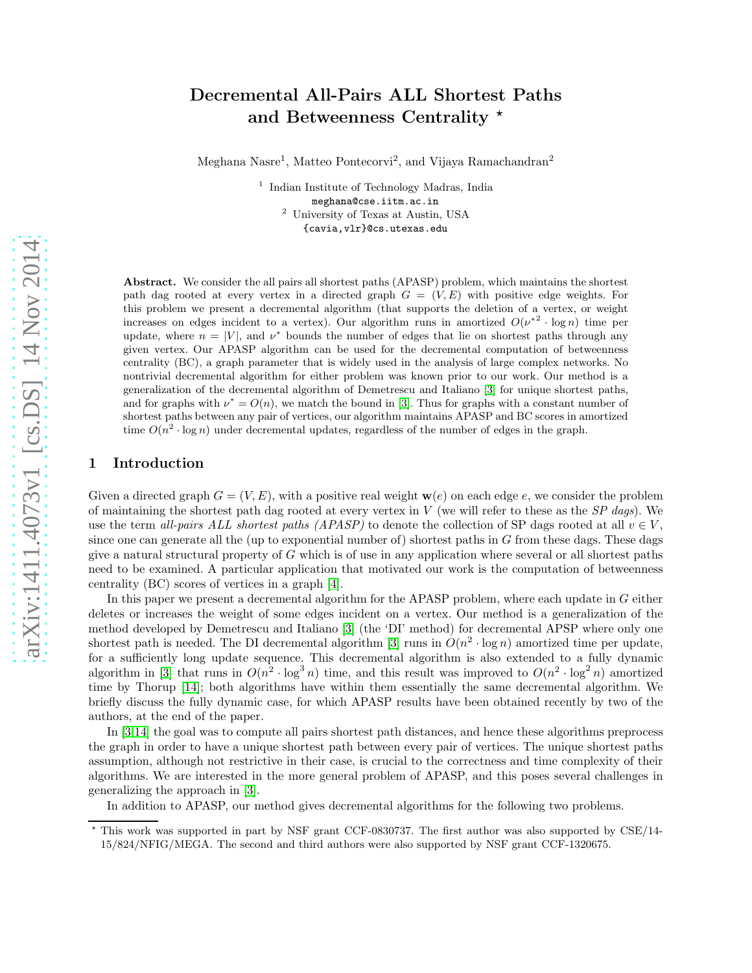# arXiv:1411.4073v1 [cs.DS] 14 Nov 2014 [arXiv:1411.4073v1 \[cs.DS\] 14 Nov 2014](http://arxiv.org/abs/1411.4073v1)

# Decremental All-Pairs ALL Shortest Paths and Betweenness Centrality \*

Meghana Nasre<sup>1</sup>, Matteo Pontecorvi<sup>2</sup>, and Vijaya Ramachandran<sup>2</sup>

1 Indian Institute of Technology Madras, India meghana@cse.iitm.ac.in <sup>2</sup> University of Texas at Austin, USA {cavia,vlr}@cs.utexas.edu

Abstract. We consider the all pairs all shortest paths (APASP) problem, which maintains the shortest path dag rooted at every vertex in a directed graph  $G = (V, E)$  with positive edge weights. For this problem we present a decremental algorithm (that supports the deletion of a vertex, or weight increases on edges incident to a vertex). Our algorithm runs in amortized  $O(\nu^{*2} \cdot \log n)$  time per update, where  $n = |V|$ , and  $\nu^*$  bounds the number of edges that lie on shortest paths through any given vertex. Our APASP algorithm can be used for the decremental computation of betweenness centrality (BC), a graph parameter that is widely used in the analysis of large complex networks. No nontrivial decremental algorithm for either problem was known prior to our work. Our method is a generalization of the decremental algorithm of Demetrescu and Italiano [\[3\]](#page-11-0) for unique shortest paths, and for graphs with  $\nu^* = O(n)$ , we match the bound in [\[3\]](#page-11-0). Thus for graphs with a constant number of shortest paths between any pair of vertices, our algorithm maintains APASP and BC scores in amortized time  $O(n^2 \cdot \log n)$  under decremental updates, regardless of the number of edges in the graph.

# 1 Introduction

Given a directed graph  $G = (V, E)$ , with a positive real weight  $\mathbf{w}(e)$  on each edge e, we consider the problem of maintaining the shortest path dag rooted at every vertex in  $V$  (we will refer to these as the  $SP$  dags). We use the term all-pairs ALL shortest paths (APASP) to denote the collection of SP dags rooted at all  $v \in V$ , since one can generate all the (up to exponential number of) shortest paths in  $G$  from these dags. These dags give a natural structural property of G which is of use in any application where several or all shortest paths need to be examined. A particular application that motivated our work is the computation of betweenness centrality (BC) scores of vertices in a graph [\[4\]](#page-11-1).

In this paper we present a decremental algorithm for the APASP problem, where each update in G either deletes or increases the weight of some edges incident on a vertex. Our method is a generalization of the method developed by Demetrescu and Italiano [\[3\]](#page-11-0) (the 'DI' method) for decremental APSP where only one shortest path is needed. The DI decremental algorithm [\[3\]](#page-11-0) runs in  $O(n^2 \cdot \log n)$  amortized time per update, for a sufficiently long update sequence. This decremental algorithm is also extended to a fully dynamic algorithm in [\[3\]](#page-11-0) that runs in  $O(n^2 \cdot \log^3 n)$  time, and this result was improved to  $O(n^2 \cdot \log^2 n)$  amortized time by Thorup [\[14\]](#page-12-0); both algorithms have within them essentially the same decremental algorithm. We briefly discuss the fully dynamic case, for which APASP results have been obtained recently by two of the authors, at the end of the paper.

In [\[3](#page-11-0)[,14\]](#page-12-0) the goal was to compute all pairs shortest path distances, and hence these algorithms preprocess the graph in order to have a unique shortest path between every pair of vertices. The unique shortest paths assumption, although not restrictive in their case, is crucial to the correctness and time complexity of their algorithms. We are interested in the more general problem of APASP, and this poses several challenges in generalizing the approach in [\[3\]](#page-11-0).

In addition to APASP, our method gives decremental algorithms for the following two problems.

<sup>⋆</sup> This work was supported in part by NSF grant CCF-0830737. The first author was also supported by CSE/14- 15/824/NFIG/MEGA. The second and third authors were also supported by NSF grant CCF-1320675.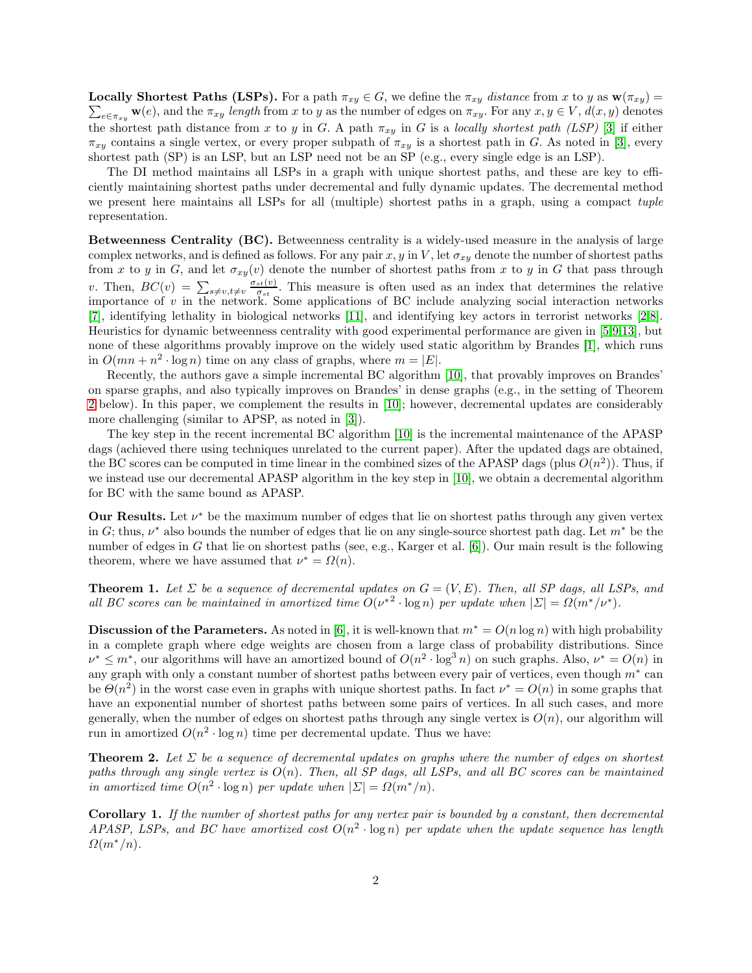$\sum_{e \in \pi_{xy}} \mathbf{w}(e)$ , and the  $\pi_{xy}$  length from x to y as the number of edges on  $\pi_{xy}$ . For any  $x, y \in V$ ,  $d(x, y)$  denotes **Locally Shortest Paths (LSPs).** For a path  $\pi_{xy} \in G$ , we define the  $\pi_{xy}$  distance from x to y as  $\mathbf{w}(\pi_{xy}) =$ the shortest path distance from x to y in G. A path  $\pi_{xy}$  in G is a locally shortest path (LSP) [\[3\]](#page-11-0) if either  $\pi_{xy}$  contains a single vertex, or every proper subpath of  $\pi_{xy}$  is a shortest path in G. As noted in [\[3\]](#page-11-0), every shortest path (SP) is an LSP, but an LSP need not be an SP (e.g., every single edge is an LSP).

The DI method maintains all LSPs in a graph with unique shortest paths, and these are key to efficiently maintaining shortest paths under decremental and fully dynamic updates. The decremental method we present here maintains all LSPs for all (multiple) shortest paths in a graph, using a compact tuple representation.

Betweenness Centrality (BC). Betweenness centrality is a widely-used measure in the analysis of large complex networks, and is defined as follows. For any pair x, y in V, let  $\sigma_{xy}$  denote the number of shortest paths from x to y in G, and let  $\sigma_{xy}(v)$  denote the number of shortest paths from x to y in G that pass through v. Then,  $BC(v) = \sum_{s \neq v, t \neq v} \frac{\sigma_{st}(v)}{\sigma_{st}}$  $\frac{\sigma_{st}(v)}{\sigma_{st}}$ . This measure is often used as an index that determines the relative importance of  $v$  in the network. Some applications of BC include analyzing social interaction networks [\[7\]](#page-11-2), identifying lethality in biological networks [\[11\]](#page-12-1), and identifying key actors in terrorist networks [\[2](#page-11-3)[,8\]](#page-11-4). Heuristics for dynamic betweenness centrality with good experimental performance are given in [\[5,](#page-11-5)[9,](#page-11-6)[13\]](#page-12-2), but none of these algorithms provably improve on the widely used static algorithm by Brandes [\[1\]](#page-11-7), which runs in  $O(mn + n^2 \cdot \log n)$  time on any class of graphs, where  $m = |E|$ .

Recently, the authors gave a simple incremental BC algorithm [\[10\]](#page-11-8), that provably improves on Brandes' on sparse graphs, and also typically improves on Brandes' in dense graphs (e.g., in the setting of Theorem [2](#page-1-0) below). In this paper, we complement the results in [\[10\]](#page-11-8); however, decremental updates are considerably more challenging (similar to APSP, as noted in [\[3\]](#page-11-0)).

The key step in the recent incremental BC algorithm [\[10\]](#page-11-8) is the incremental maintenance of the APASP dags (achieved there using techniques unrelated to the current paper). After the updated dags are obtained, the BC scores can be computed in time linear in the combined sizes of the APASP dags (plus  $O(n^2)$ ). Thus, if we instead use our decremental APASP algorithm in the key step in [\[10\]](#page-11-8), we obtain a decremental algorithm for BC with the same bound as APASP.

Our Results. Let  $\nu^*$  be the maximum number of edges that lie on shortest paths through any given vertex in G; thus,  $\nu^*$  also bounds the number of edges that lie on any single-source shortest path dag. Let  $m^*$  be the number of edges in G that lie on shortest paths (see, e.g., Karger et al.  $[6]$ ). Our main result is the following theorem, where we have assumed that  $\nu^* = \Omega(n)$ .

<span id="page-1-1"></span>**Theorem 1.** Let  $\Sigma$  be a sequence of decremental updates on  $G = (V, E)$ . Then, all SP dags, all LSPs, and all BC scores can be maintained in amortized time  $O(\nu^{*2} \cdot \log n)$  per update when  $|\Sigma| = O(m^{*}/\nu^{*})$ .

Discussion of the Parameters. As noted in [\[6\]](#page-11-9), it is well-known that  $m^* = O(n \log n)$  with high probability in a complete graph where edge weights are chosen from a large class of probability distributions. Since  $\nu^* \leq m^*$ , our algorithms will have an amortized bound of  $O(n^2 \cdot \log^3 n)$  on such graphs. Also,  $\nu^* = O(n)$  in any graph with only a constant number of shortest paths between every pair of vertices, even though  $m^*$  can be  $\Theta(n^2)$  in the worst case even in graphs with unique shortest paths. In fact  $\nu^* = O(n)$  in some graphs that have an exponential number of shortest paths between some pairs of vertices. In all such cases, and more generally, when the number of edges on shortest paths through any single vertex is  $O(n)$ , our algorithm will run in amortized  $O(n^2 \cdot \log n)$  time per decremental update. Thus we have:

<span id="page-1-0"></span>**Theorem 2.** Let  $\Sigma$  be a sequence of decremental updates on graphs where the number of edges on shortest paths through any single vertex is  $O(n)$ . Then, all SP dags, all LSPs, and all BC scores can be maintained in amortized time  $O(n^2 \cdot \log n)$  per update when  $|\Sigma| = \Omega(m^*/n)$ .

Corollary 1. If the number of shortest paths for any vertex pair is bounded by a constant, then decremental APASP, LSPs, and BC have amortized cost  $O(n^2 \cdot \log n)$  per update when the update sequence has length  $\Omega(m^*/n)$ .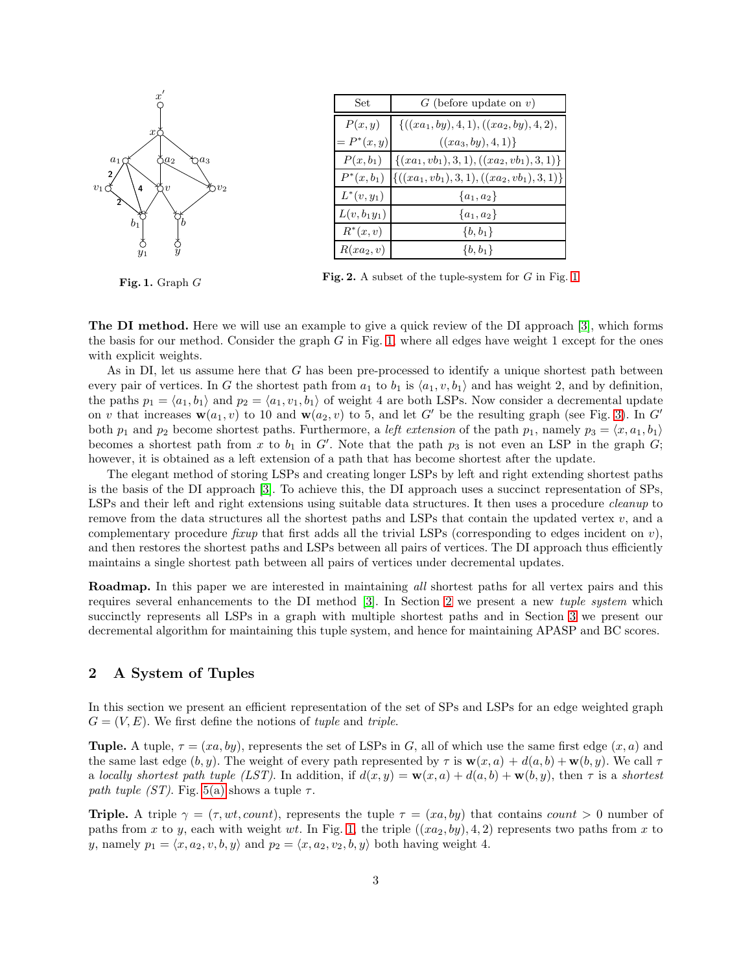

<span id="page-2-0"></span>Fig. 1. Graph G

| Set.            | $G$ (before update on $v$ )                 |
|-----------------|---------------------------------------------|
| P(x,y)          | $\{((xa_1, by), 4, 1), ((xa_2, by), 4, 2),$ |
| $= P^{*}(x, y)$ | $((xa_3,by),4,1)$                           |
| $P(x,b_1)$      | $\{(xa_1,vb_1),3,1), ((xa_2,vb_1),3,1)\}$   |
| $P^*(x, b_1)$   | $\{((xa_1,vb_1),3,1),((xa_2,vb_1),3,1)\}\$  |
| $L^*(v, y_1)$   | $\{a_1, a_2\}$                              |
| $L(v, b_1y_1)$  | ${a_1, a_2}$                                |
| $R^*(x,v)$      | $\{b, b_1\}$                                |
| $R(xa_2, v)$    | $\{b, b_1\}$                                |

<span id="page-2-2"></span>Fig. 2. A subset of the tuple-system for  $G$  in Fig. [1](#page-2-0)

The DI method. Here we will use an example to give a quick review of the DI approach [\[3\]](#page-11-0), which forms the basis for our method. Consider the graph  $G$  in Fig. [1,](#page-2-0) where all edges have weight 1 except for the ones with explicit weights.

As in DI, let us assume here that  $G$  has been pre-processed to identify a unique shortest path between every pair of vertices. In G the shortest path from  $a_1$  to  $b_1$  is  $\langle a_1, v, b_1 \rangle$  and has weight 2, and by definition, the paths  $p_1 = \langle a_1, b_1 \rangle$  and  $p_2 = \langle a_1, v_1, b_1 \rangle$  of weight 4 are both LSPs. Now consider a decremental update on v that increases  $\mathbf{w}(a_1, v)$  to 10 and  $\mathbf{w}(a_2, v)$  to 5, and let G' be the resulting graph (see Fig. [3\)](#page-3-0). In G' both  $p_1$  and  $p_2$  become shortest paths. Furthermore, a *left extension* of the path  $p_1$ , namely  $p_3 = \langle x, a_1, b_1 \rangle$ becomes a shortest path from x to  $b_1$  in G'. Note that the path  $p_3$  is not even an LSP in the graph G; however, it is obtained as a left extension of a path that has become shortest after the update.

The elegant method of storing LSPs and creating longer LSPs by left and right extending shortest paths is the basis of the DI approach [\[3\]](#page-11-0). To achieve this, the DI approach uses a succinct representation of SPs, LSPs and their left and right extensions using suitable data structures. It then uses a procedure cleanup to remove from the data structures all the shortest paths and LSPs that contain the updated vertex  $v$ , and a complementary procedure *fixup* that first adds all the trivial LSPs (corresponding to edges incident on  $v$ ), and then restores the shortest paths and LSPs between all pairs of vertices. The DI approach thus efficiently maintains a single shortest path between all pairs of vertices under decremental updates.

Roadmap. In this paper we are interested in maintaining all shortest paths for all vertex pairs and this requires several enhancements to the DI method [\[3\]](#page-11-0). In Section [2](#page-2-1) we present a new tuple system which succinctly represents all LSPs in a graph with multiple shortest paths and in Section [3](#page-4-0) we present our decremental algorithm for maintaining this tuple system, and hence for maintaining APASP and BC scores.

# <span id="page-2-1"></span>2 A System of Tuples

In this section we present an efficient representation of the set of SPs and LSPs for an edge weighted graph  $G = (V, E)$ . We first define the notions of *tuple* and *triple*.

Tuple. A tuple,  $\tau = (xa, by)$ , represents the set of LSPs in G, all of which use the same first edge  $(x, a)$  and the same last edge  $(b, y)$ . The weight of every path represented by  $\tau$  is  $\mathbf{w}(x, a) + d(a, b) + \mathbf{w}(b, y)$ . We call  $\tau$ a locally shortest path tuple (LST). In addition, if  $d(x, y) = \mathbf{w}(x, a) + d(a, b) + \mathbf{w}(b, y)$ , then  $\tau$  is a shortest path tuple (ST). Fig. [5\(a\)](#page-3-1) shows a tuple  $\tau$ .

**Triple.** A triple  $\gamma = (\tau, wt, count)$ , represents the tuple  $\tau = (xa, by)$  that contains count  $> 0$  number of paths from x to y, each with weight wt. In Fig. [1,](#page-2-0) the triple  $((xa_2, by), 4, 2)$  represents two paths from x to y, namely  $p_1 = \langle x, a_2, v, b, y \rangle$  and  $p_2 = \langle x, a_2, v_2, b, y \rangle$  both having weight 4.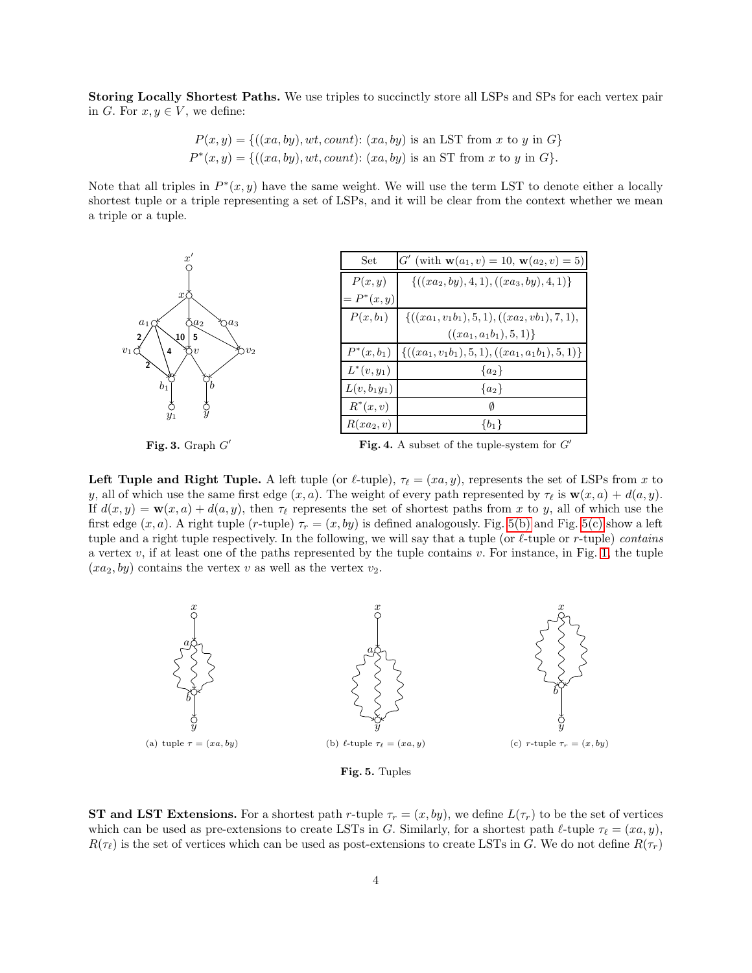Storing Locally Shortest Paths. We use triples to succinctly store all LSPs and SPs for each vertex pair in G. For  $x, y \in V$ , we define:

$$
P(x, y) = \{((xa, by), wt, count): (xa, by) \text{ is an LSTM from } x \text{ to } y \text{ in } G\}
$$
  

$$
P^*(x, y) = \{((xa, by), wt, count): (xa, by) \text{ is an ST from } x \text{ to } y \text{ in } G\}.
$$

Note that all triples in  $P^*(x, y)$  have the same weight. We will use the term LST to denote either a locally shortest tuple or a triple representing a set of LSPs, and it will be clear from the context whether we mean a triple or a tuple.



<span id="page-3-0"></span>Fig. 3. Graph  $G'$ 

<span id="page-3-4"></span>Fig. 4. A subset of the tuple-system for  $G'$ 

Left Tuple and Right Tuple. A left tuple (or  $\ell$ -tuple),  $\tau_{\ell} = (xa, y)$ , represents the set of LSPs from x to y, all of which use the same first edge  $(x, a)$ . The weight of every path represented by  $\tau_{\ell}$  is  $\mathbf{w}(x, a) + d(a, y)$ . If  $d(x, y) = \mathbf{w}(x, a) + d(a, y)$ , then  $\tau_{\ell}$  represents the set of shortest paths from x to y, all of which use the first edge  $(x, a)$ . A right tuple  $(r$ -tuple)  $\tau_r = (x, by)$  is defined analogously. Fig. [5\(b\)](#page-3-2) and Fig. [5\(c\)](#page-3-3) show a left tuple and a right tuple respectively. In the following, we will say that a tuple (or  $\ell$ -tuple or r-tuple) contains a vertex  $v$ , if at least one of the paths represented by the tuple contains  $v$ . For instance, in Fig. [1,](#page-2-0) the tuple  $(xa_2, by)$  contains the vertex v as well as the vertex  $v_2$ .

<span id="page-3-1"></span>

<span id="page-3-3"></span><span id="page-3-2"></span>Fig. 5. Tuples

**ST and LST Extensions.** For a shortest path r-tuple  $\tau_r = (x, by)$ , we define  $L(\tau_r)$  to be the set of vertices which can be used as pre-extensions to create LSTs in G. Similarly, for a shortest path  $\ell$ -tuple  $\tau_{\ell} = (xa, y)$ ,  $R(\tau_{\ell})$  is the set of vertices which can be used as post-extensions to create LSTs in G. We do not define  $R(\tau_r)$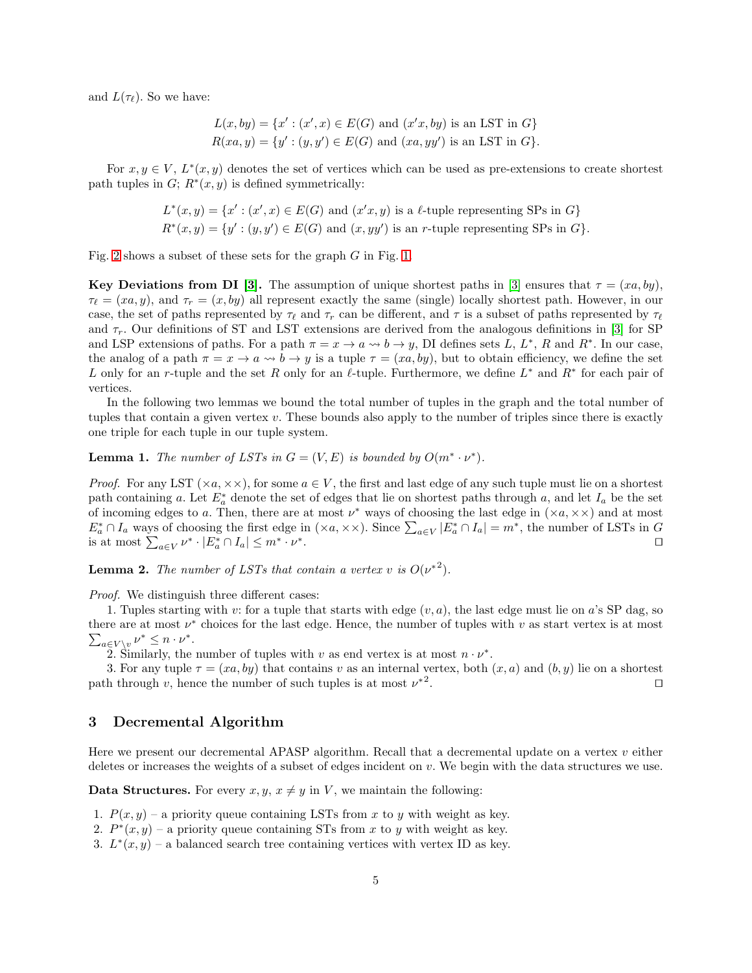and  $L(\tau_{\ell})$ . So we have:

$$
L(x, by) = \{x' : (x', x) \in E(G) \text{ and } (x'x, by) \text{ is an LSTM in } G\}
$$
  

$$
R(xa, y) = \{y' : (y, y') \in E(G) \text{ and } (xa, yy') \text{ is an LSTM in } G\}.
$$

For  $x, y \in V$ ,  $L^*(x, y)$  denotes the set of vertices which can be used as pre-extensions to create shortest path tuples in  $G; R^*(x, y)$  is defined symmetrically:

$$
L^*(x, y) = \{x' : (x', x) \in E(G) \text{ and } (x'x, y) \text{ is a } \ell\text{-tuple representing SPs in } G\}
$$
  

$$
R^*(x, y) = \{y' : (y, y') \in E(G) \text{ and } (x, yy') \text{ is an } r\text{-tuple representing SPs in } G\}.
$$

Fig. [2](#page-2-2) shows a subset of these sets for the graph  $G$  in Fig. [1.](#page-2-0)

Key Deviations from DI [\[3\]](#page-11-0). The assumption of unique shortest paths in [3] ensures that  $\tau = (xa, by)$ ,  $\tau_{\ell} = (xa, y)$ , and  $\tau_r = (x, by)$  all represent exactly the same (single) locally shortest path. However, in our case, the set of paths represented by  $\tau_{\ell}$  and  $\tau_r$  can be different, and  $\tau$  is a subset of paths represented by  $\tau_{\ell}$ and  $\tau_r$ . Our definitions of ST and LST extensions are derived from the analogous definitions in [\[3\]](#page-11-0) for SP and LSP extensions of paths. For a path  $\pi = x \to a \leadsto b \to y$ , DI defines sets L, L<sup>\*</sup>, R and R<sup>\*</sup>. In our case, the analog of a path  $\pi = x \to a \leadsto b \to y$  is a tuple  $\tau = (xa, by)$ , but to obtain efficiency, we define the set L only for an r-tuple and the set R only for an  $\ell$ -tuple. Furthermore, we define  $L^*$  and  $R^*$  for each pair of vertices.

In the following two lemmas we bound the total number of tuples in the graph and the total number of tuples that contain a given vertex  $v$ . These bounds also apply to the number of triples since there is exactly one triple for each tuple in our tuple system.

<span id="page-4-2"></span>**Lemma 1.** The number of LSTs in  $G = (V, E)$  is bounded by  $O(m^* \cdot \nu^*)$ .

*Proof.* For any LST ( $\times a$ ,  $\times\times$ ), for some  $a \in V$ , the first and last edge of any such tuple must lie on a shortest path containing a. Let  $E_a^*$  denote the set of edges that lie on shortest paths through a, and let  $I_a$  be the set of incoming edges to a. Then, there are at most  $\nu^*$  ways of choosing the last edge in  $(\times a, \times \times)$  and at most  $E_a^* \cap I_a$  ways of choosing the first edge in  $(\times a, \times \times)$ . Since  $\sum_{a \in V} |E_a^* \cap I_a| = m^*$ , the number of LSTs in G is at most  $\sum_{a \in V} \nu^* \cdot |E_a^* \cap I_a| \leq m^* \cdot \nu^*$ . ⊓⊔

<span id="page-4-1"></span>**Lemma 2.** The number of LSTs that contain a vertex v is  $O(\nu^{*2})$ .

Proof. We distinguish three different cases:

1. Tuples starting with v: for a tuple that starts with edge  $(v, a)$ , the last edge must lie on a's SP dag, so there are at most  $\nu^*$  choices for the last edge. Hence, the number of tuples with  $v$  as start vertex is at most  $\sum_{a \in V \setminus v} \nu^* \leq n \cdot \nu^*.$ 

2. Similarly, the number of tuples with v as end vertex is at most  $n \cdot \nu^*$ .

3. For any tuple  $\tau = (xa, by)$  that contains v as an internal vertex, both  $(x, a)$  and  $(b, y)$  lie on a shortest path through v, hence the number of such tuples is at most  $\nu^{*2}$ . ⊓⊔

## <span id="page-4-0"></span>3 Decremental Algorithm

Here we present our decremental APASP algorithm. Recall that a decremental update on a vertex v either deletes or increases the weights of a subset of edges incident on v. We begin with the data structures we use.

**Data Structures.** For every  $x, y, x \neq y$  in V, we maintain the following:

- 1.  $P(x, y)$  a priority queue containing LSTs from x to y with weight as key.
- 2.  $P^*(x, y)$  a priority queue containing STs from x to y with weight as key.
- 3.  $L^*(x, y)$  a balanced search tree containing vertices with vertex ID as key.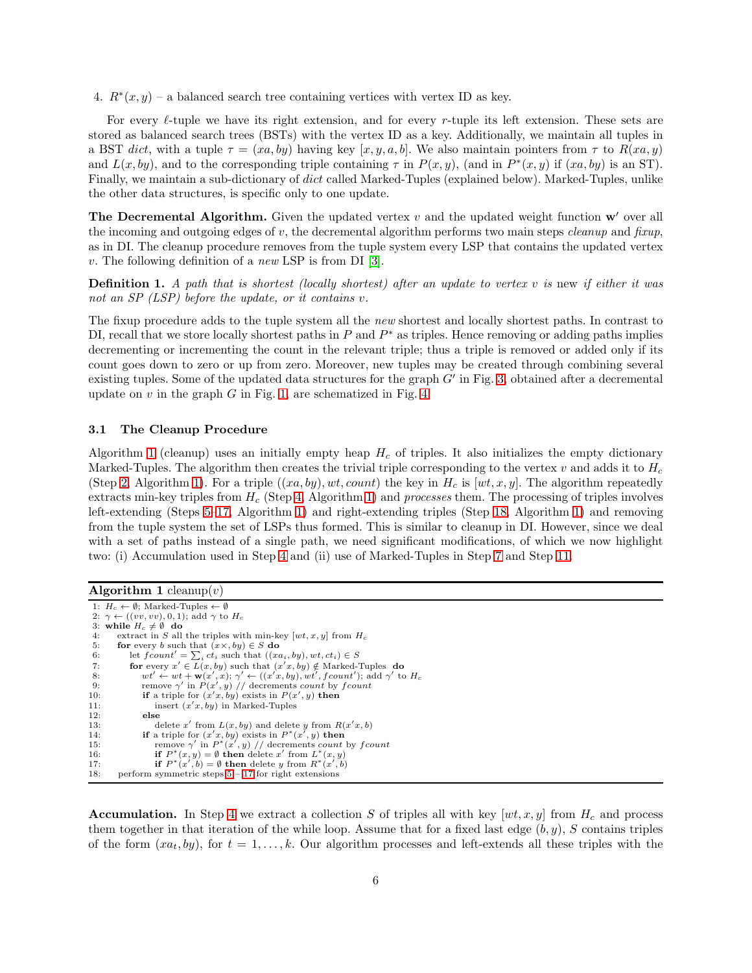4.  $R^*(x, y)$  – a balanced search tree containing vertices with vertex ID as key.

For every  $\ell$ -tuple we have its right extension, and for every r-tuple its left extension. These sets are stored as balanced search trees (BSTs) with the vertex ID as a key. Additionally, we maintain all tuples in a BST dict, with a tuple  $\tau = (xa, by)$  having key [x, y, a, b]. We also maintain pointers from  $\tau$  to  $R(xa, y)$ and  $L(x, by)$ , and to the corresponding triple containing  $\tau$  in  $P(x, y)$ , (and in  $P^*(x, y)$  if  $(xa, by)$  is an ST). Finally, we maintain a sub-dictionary of dict called Marked-Tuples (explained below). Marked-Tuples, unlike the other data structures, is specific only to one update.

**The Decremental Algorithm.** Given the updated vertex  $v$  and the updated weight function  $w'$  over all the incoming and outgoing edges of v, the decremental algorithm performs two main steps *cleanup* and *fixup*, as in DI. The cleanup procedure removes from the tuple system every LSP that contains the updated vertex v. The following definition of a *new* LSP is from DI  $[3]$ .

<span id="page-5-9"></span>**Definition 1.** A path that is shortest (locally shortest) after an update to vertex  $v$  is new if either it was not an SP (LSP) before the update, or it contains v.

The fixup procedure adds to the tuple system all the *new* shortest and locally shortest paths. In contrast to DI, recall that we store locally shortest paths in  $P$  and  $P^*$  as triples. Hence removing or adding paths implies decrementing or incrementing the count in the relevant triple; thus a triple is removed or added only if its count goes down to zero or up from zero. Moreover, new tuples may be created through combining several existing tuples. Some of the updated data structures for the graph  $G'$  in Fig. [3,](#page-3-0) obtained after a decremental update on  $v$  in the graph  $G$  in Fig. [1,](#page-2-0) are schematized in Fig. [4.](#page-3-4)

#### <span id="page-5-10"></span>3.1 The Cleanup Procedure

Algorithm [1](#page-5-0) (cleanup) uses an initially empty heap  $H_c$  of triples. It also initializes the empty dictionary Marked-Tuples. The algorithm then creates the trivial triple corresponding to the vertex  $v$  and adds it to  $H_c$ (Step [2,](#page-5-1) Algorithm [1\)](#page-5-0). For a triple  $((xa, by), wt, count)$  the key in  $H_c$  is  $[wt, x, y]$ . The algorithm repeatedly extracts min-key triples from  $H_c$  (Step [4,](#page-5-2) Algorithm [1\)](#page-5-0) and *processes* them. The processing of triples involves left-extending (Steps [5–](#page-5-3)[17,](#page-5-4) Algorithm [1\)](#page-5-0) and right-extending triples (Step [18,](#page-5-5) Algorithm [1\)](#page-5-0) and removing from the tuple system the set of LSPs thus formed. This is similar to cleanup in DI. However, since we deal with a set of paths instead of a single path, we need significant modifications, of which we now highlight two: (i) Accumulation used in Step [4](#page-5-2) and (ii) use of Marked-Tuples in Step [7](#page-5-6) and Step [11.](#page-5-7)

<span id="page-5-0"></span>

| <b>Algorithm 1</b> cleanup( $v$ ) |  |  |  |  |
|-----------------------------------|--|--|--|--|
|-----------------------------------|--|--|--|--|

<span id="page-5-14"></span><span id="page-5-12"></span><span id="page-5-11"></span><span id="page-5-8"></span><span id="page-5-7"></span><span id="page-5-6"></span><span id="page-5-3"></span><span id="page-5-2"></span><span id="page-5-1"></span>1:  $H_c \leftarrow \emptyset$ ; Marked-Tuples  $\leftarrow \emptyset$ 2:  $\gamma \leftarrow ((vv, vv), 0, 1)$ ; add  $\gamma$  to  $H_c$ 3: while  $H_c \neq \emptyset$  do 4: extract in S all extract in S all the triples with min-key  $[wt, x, y]$  from  $H_c$ 5: **for** every b such that  $(x \times, by) \in S$  **do**<br>6: let  $fcount' = \sum_{i} ct_i$  such that  $((x \circ c)^2)(x \circ c)^2$ 6: let  $fcount' = \sum_i ct_i$  such that  $((xa_i, by), wt, ct_i) \in S$ 7: **for** every  $x' \in \overline{L}(x, by)$  such that  $(x'x, by) \notin \text{Marked-Tuples}$  do 8:  $wt' \leftarrow wt + \mathbf{w}(x', x); \gamma' \leftarrow ((x'x, by), wt', fcount');$  add  $\gamma'$  to  $H_c$ <br>9: remove  $\gamma'$  in  $P(x', y)$  // decrements count by f count<br>10: **if** a triple for  $(x'x, by)$  exists in  $P(x', y)$  **then** 11: insert  $(x'x, by)$  in Marked-Tuples 12: else 13: delete x' from  $L(x, by)$  and delete y from  $R(x|x, b)$ 14: **if** a triple for  $(x', y)$  exists in  $P^*(x', y)$  then<br>15: remove  $\gamma'$  in  $P^*(x', y)$  // decrements count by fcount 16: **if**  $P^*(x, y) = \emptyset$  **then** delete x' from  $L^*(x, y)$ <br>17: **if**  $P^*(x', b) = \emptyset$  **then** delete y from  $R^*(x', b)$ 18: perform symmetric steps [5](#page-5-3) – [17](#page-5-4) for right extensions

<span id="page-5-13"></span><span id="page-5-5"></span><span id="page-5-4"></span>**Accumulation.** In Step [4](#page-5-2) we extract a collection S of triples all with key  $[wt, x, y]$  from  $H_c$  and process them together in that iteration of the while loop. Assume that for a fixed last edge  $(b, y)$ , S contains triples of the form  $(xa_t, by)$ , for  $t = 1, \ldots, k$ . Our algorithm processes and left-extends all these triples with the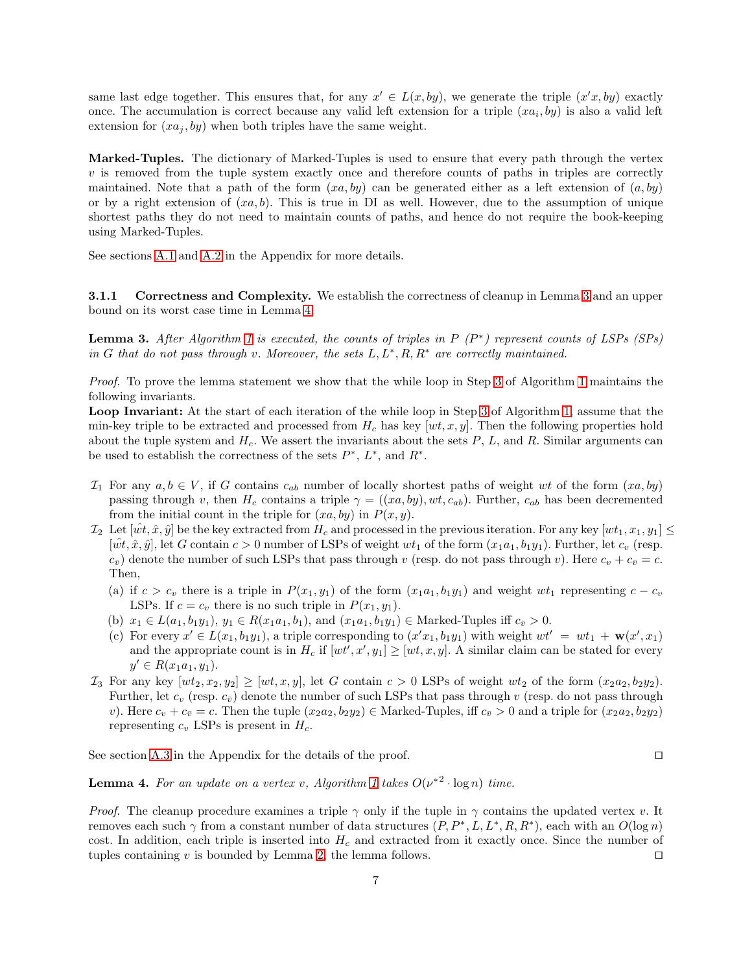same last edge together. This ensures that, for any  $x' \in L(x, by)$ , we generate the triple  $(x'x, by)$  exactly once. The accumulation is correct because any valid left extension for a triple  $(xa_i, by)$  is also a valid left extension for  $(xa_i, by)$  when both triples have the same weight.

Marked-Tuples. The dictionary of Marked-Tuples is used to ensure that every path through the vertex  $v$  is removed from the tuple system exactly once and therefore counts of paths in triples are correctly maintained. Note that a path of the form  $(xa, by)$  can be generated either as a left extension of  $(a, by)$ or by a right extension of  $(xa, b)$ . This is true in DI as well. However, due to the assumption of unique shortest paths they do not need to maintain counts of paths, and hence do not require the book-keeping using Marked-Tuples.

See sections [A.1](#page-13-0) and [A.2](#page-13-1) in the Appendix for more details.

<span id="page-6-0"></span>3.1.1 Correctness and Complexity. We establish the correctness of cleanup in Lemma [3](#page-6-0) and an upper bound on its worst case time in Lemma [4.](#page-6-1)

**Lemma 3.** After Algorithm [1](#page-5-0) is executed, the counts of triples in  $P(P^*)$  represent counts of LSPs (SPs) in G that do not pass through v. Moreover, the sets  $L, L^*, R, R^*$  are correctly maintained.

Proof. To prove the lemma statement we show that the while loop in Step [3](#page-5-8) of Algorithm [1](#page-5-0) maintains the following invariants.

Loop Invariant: At the start of each iteration of the while loop in Step [3](#page-5-8) of Algorithm [1,](#page-5-0) assume that the min-key triple to be extracted and processed from  $H_c$  has key  $[wt, x, y]$ . Then the following properties hold about the tuple system and  $H_c$ . We assert the invariants about the sets P, L, and R. Similar arguments can be used to establish the correctness of the sets  $P^*$ ,  $L^*$ , and  $R^*$ .

- $\mathcal{I}_1$  For any  $a, b \in V$ , if G contains  $c_{ab}$  number of locally shortest paths of weight wt of the form  $(xa, by)$ passing through v, then  $H_c$  contains a triple  $\gamma = ((xa, by), wt, c_{ab})$ . Further,  $c_{ab}$  has been decremented from the initial count in the triple for  $(xa, by)$  in  $P(x, y)$ .
- $\mathcal{I}_2$  Let  $[\hat{wt}, \hat{x}, \hat{y}]$  be the key extracted from  $H_c$  and processed in the previous iteration. For any key  $[wt_1, x_1, y_1] \leq$  $[wt, \hat{x}, \hat{y}]$ , let G contain  $c > 0$  number of LSPs of weight  $wt_1$  of the form  $(x_1a_1, b_1y_1)$ . Further, let  $c_v$  (resp.  $c_{\bar{v}}$ ) denote the number of such LSPs that pass through v (resp. do not pass through v). Here  $c_v + c_{\bar{v}} = c$ . Then,
	- (a) if  $c > c_v$  there is a triple in  $P(x_1, y_1)$  of the form  $(x_1a_1, b_1y_1)$  and weight wt<sub>1</sub> representing  $c c_v$ LSPs. If  $c = c_v$  there is no such triple in  $P(x_1, y_1)$ .
	- (b)  $x_1 \in L(a_1, b_1y_1), y_1 \in R(x_1a_1, b_1),$  and  $(x_1a_1, b_1y_1) \in \text{Marked-Tuples iff } c_{\bar{v}} > 0.$
	- (c) For every  $x' \in L(x_1, b_1y_1)$ , a triple corresponding to  $(x'x_1, b_1y_1)$  with weight  $wt' = wt_1 + \mathbf{w}(x', x_1)$ and the appropriate count is in  $H_c$  if  $[wt, x', y_1] \geq [wt, x, y]$ . A similar claim can be stated for every  $y' \in R(x_1a_1, y_1).$
- $\mathcal{I}_3$  For any key  $[wt_2, x_2, y_2] \geq [wt, x, y]$ , let G contain  $c > 0$  LSPs of weight  $wt_2$  of the form  $(x_2a_2, b_2y_2)$ . Further, let  $c_v$  (resp.  $c_{\bar{v}}$ ) denote the number of such LSPs that pass through v (resp. do not pass through v). Here  $c_v + c_{\bar{v}} = c$ . Then the tuple  $(x_2a_2, b_2y_2) \in \text{Marked-Tuples}$ , iff  $c_{\bar{v}} > 0$  and a triple for  $(x_2a_2, b_2y_2)$ representing  $c_v$  LSPs is present in  $H_c$ .

See section [A.3](#page-14-0) in the Appendix for the details of the proof. □

<span id="page-6-1"></span>**Lemma 4.** For an update on a vertex v, Algorithm [1](#page-5-0) takes  $O(\nu^{*2} \cdot \log n)$  time.

*Proof.* The cleanup procedure examines a triple  $\gamma$  only if the tuple in  $\gamma$  contains the updated vertex v. It removes each such  $\gamma$  from a constant number of data structures  $(P, P^*, L, L^*, R, R^*)$ , each with an  $O(\log n)$ cost. In addition, each triple is inserted into  $H_c$  and extracted from it exactly once. Since the number of tuples containing v is bounded by Lemma [2,](#page-4-1) the lemma follows. □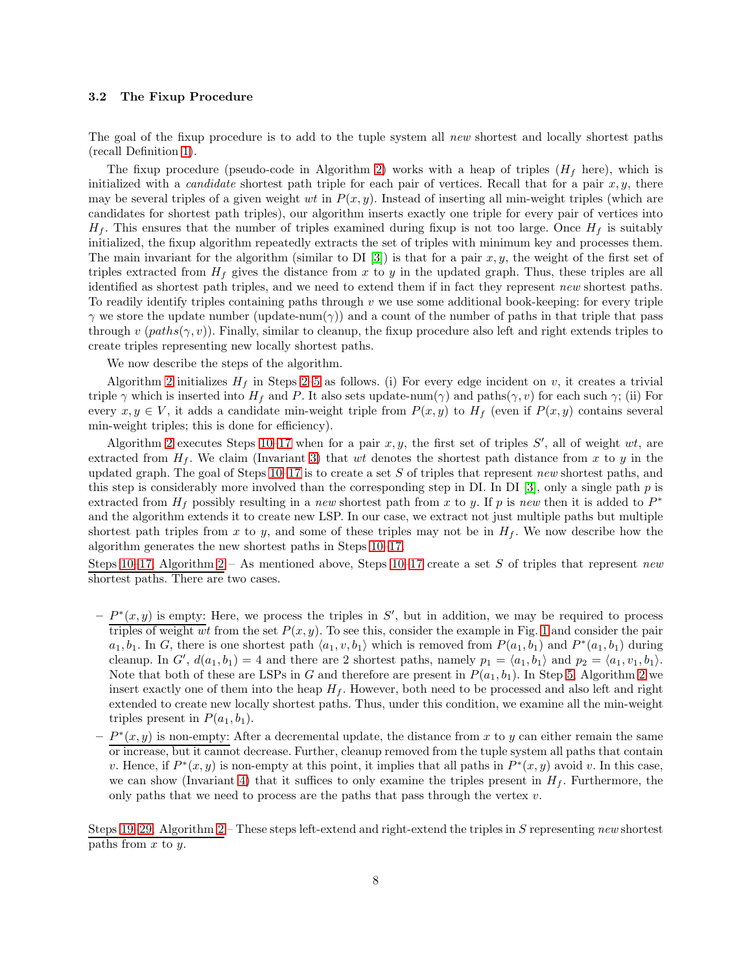#### 3.2 The Fixup Procedure

The goal of the fixup procedure is to add to the tuple system all new shortest and locally shortest paths (recall Definition [1\)](#page-5-9).

The fixup procedure (pseudo-code in Algorithm [2\)](#page-8-0) works with a heap of triples  $(H_f \text{ here})$ , which is initialized with a *candidate* shortest path triple for each pair of vertices. Recall that for a pair  $x, y$ , there may be several triples of a given weight wt in  $P(x, y)$ . Instead of inserting all min-weight triples (which are candidates for shortest path triples), our algorithm inserts exactly one triple for every pair of vertices into  $H_f$ . This ensures that the number of triples examined during fixup is not too large. Once  $H_f$  is suitably initialized, the fixup algorithm repeatedly extracts the set of triples with minimum key and processes them. The main invariant for the algorithm (similar to DI [\[3\]](#page-11-0)) is that for a pair  $x, y$ , the weight of the first set of triples extracted from  $H_f$  gives the distance from x to y in the updated graph. Thus, these triples are all identified as shortest path triples, and we need to extend them if in fact they represent new shortest paths. To readily identify triples containing paths through  $v$  we use some additional book-keeping: for every triple  $\gamma$  we store the update number (update-num( $\gamma$ )) and a count of the number of paths in that triple that pass through v  $(paths(\gamma, v))$ . Finally, similar to cleanup, the fixup procedure also left and right extends triples to create triples representing new locally shortest paths.

We now describe the steps of the algorithm.

Algorithm [2](#page-8-0) initializes  $H_f$  in Steps [2–](#page-8-1)[5](#page-8-2) as follows. (i) For every edge incident on v, it creates a trivial triple  $\gamma$  which is inserted into  $H_f$  and P. It also sets update-num( $\gamma$ ) and paths( $\gamma$ , v) for each such  $\gamma$ ; (ii) For every  $x, y \in V$ , it adds a candidate min-weight triple from  $P(x, y)$  to  $H_f$  (even if  $P(x, y)$  contains several min-weight triples; this is done for efficiency).

Algorithm [2](#page-8-0) executes Steps  $10-17$  $10-17$  when for a pair  $x, y$ , the first set of triples  $S'$ , all of weight  $wt$ , are extracted from  $H_f$ . We claim (Invariant [3\)](#page-8-5) that wt denotes the shortest path distance from x to y in the updated graph. The goal of Steps  $10-17$  $10-17$  is to create a set S of triples that represent new shortest paths, and this step is considerably more involved than the corresponding step in DI. In DI [\[3\]](#page-11-0), only a single path  $p$  is extracted from  $H_f$  possibly resulting in a new shortest path from x to y. If p is new then it is added to  $P^*$ and the algorithm extends it to create new LSP. In our case, we extract not just multiple paths but multiple shortest path triples from x to y, and some of these triples may not be in  $H_f$ . We now describe how the algorithm generates the new shortest paths in Steps [10–](#page-8-3)[17.](#page-8-4)

Steps [10–](#page-8-3)[17,](#page-8-4) Algorithm [2](#page-8-0) – As mentioned above, Steps [10](#page-8-3)[–17](#page-8-4) create a set S of triples that represent new shortest paths. There are two cases.

- $-P^*(x, y)$  is empty: Here, we process the triples in S', but in addition, we may be required to process triples of weight wt from the set  $P(x, y)$ . To see this, consider the example in Fig. [1](#page-2-0) and consider the pair  $a_1, b_1$ . In G, there is one shortest path  $\langle a_1, v, b_1 \rangle$  which is removed from  $P(a_1, b_1)$  and  $P^*(a_1, b_1)$  during cleanup. In  $G'$ ,  $d(a_1, b_1) = 4$  and there are 2 shortest paths, namely  $p_1 = \langle a_1, b_1 \rangle$  and  $p_2 = \langle a_1, v_1, b_1 \rangle$ . Note that both of these are LSPs in G and therefore are present in  $P(a_1, b_1)$ . In Step [5,](#page-8-2) Algorithm [2](#page-8-0) we insert exactly one of them into the heap  $H_f$ . However, both need to be processed and also left and right extended to create new locally shortest paths. Thus, under this condition, we examine all the min-weight triples present in  $P(a_1, b_1)$ .
- $-P^*(x, y)$  is non-empty: After a decremental update, the distance from x to y can either remain the same or increase, but it cannot decrease. Further, cleanup removed from the tuple system all paths that contain v. Hence, if  $P^*(x, y)$  is non-empty at this point, it implies that all paths in  $P^*(x, y)$  avoid v. In this case, we can show (Invariant [4\)](#page-9-0) that it suffices to only examine the triples present in  $H_f$ . Furthermore, the only paths that we need to process are the paths that pass through the vertex  $v$ .

Steps [19–](#page-8-6)[29,](#page-8-7) Algorithm [2](#page-8-0) – These steps left-extend and right-extend the triples in S representing new shortest paths from  $x$  to  $y$ .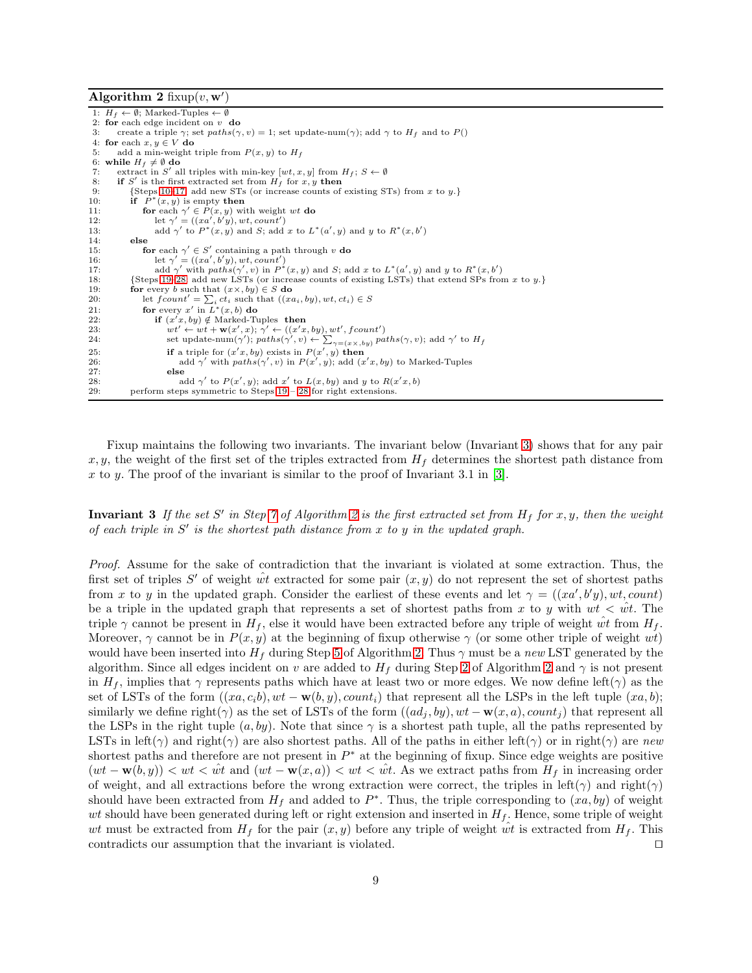<span id="page-8-0"></span>Algorithm 2 fixup $(v, w')$ 

<span id="page-8-15"></span><span id="page-8-14"></span><span id="page-8-13"></span><span id="page-8-12"></span><span id="page-8-11"></span><span id="page-8-9"></span><span id="page-8-4"></span><span id="page-8-3"></span><span id="page-8-2"></span><span id="page-8-1"></span>1:  $H_f \leftarrow \emptyset$ ; Marked-Tuples  $\leftarrow \emptyset$ 2: for each edge incident on v do<br>3: create a triple  $\gamma$ : set paths( $\gamma$ create a triple  $\gamma$ ; set paths $(\gamma, v) = 1$ ; set update-num $(\gamma)$ ; add  $\gamma$  to  $H_f$  and to  $P()$ 4: for each  $x, y \in V$  do 5: add a min-weight add a min-weight triple from  $P(x, y)$  to  $H_f$ 6: while  $H_f \neq \emptyset$  do<br>7: extract in S' al 7: extract in S' all triples with min-key  $[wt, x, y]$  from  $H_f$ ;  $S \leftarrow \emptyset$ <br>8: **if** S' is the first extracted set from  $H_f$  for x, y **then** 9: {Steps [10–](#page-8-3)[17:](#page-8-4) add new STs (or increase counts of existing STs) from x to y.}<br>10: **if**  $P^*(x, y)$  is empty **then** 10: if  $\overrightarrow{P}$ <br>11: for  $*(x, y)$  is empty then 11: **for** each  $\gamma' \in \hat{P}(x, y)$  with weight wt **do**<br>12: let  $\gamma' = ((xa', b'y), wt, count')$ 13: add  $\gamma'$  to  $P^*(x, y)$  and S; add x to  $L^*(a', y)$  and y to  $R^*(x, b')$ 14: else 15: **for** each  $\gamma' \in S'$  containing a path through v **do** 16: let  $\gamma' = ((xa', b'y), wt, count')$ <br>17: add  $\gamma'$  with paths( $\gamma', v$ ) in  $P^*(x, y)$  and S; add x to  $L^*(a', y)$  and y to  $R^*(x, b')$ 18: {Steps [19](#page-8-6)[–28:](#page-8-8) add new LSTs (or increase counts of existing LSTs) that extend SPs from x to y.} 19: for every b such that  $(x \times, by) \in S$  do 20: let  $fcount' = \sum_i ct_i$  such that  $((xa_i, by), wt, ct_i) \in S$ <br>21: **for** every x' in  $L^*(x, b)$  **do** 22: if  $(x'x, by) \notin \text{Market-Tuples}$  then 23:  $wt' \leftarrow wt + \mathbf{w}(x', x); \ \gamma' \leftarrow ((x'x, by), wt', fcount')$ 24: set update-num( $\gamma'$ ); paths( $\gamma', v$ )  $\leftarrow \sum_{\gamma = (x \times, by)}$  paths( $\gamma, v$ ); add  $\gamma'$  to H<sub>f</sub> 25: **if** a triple for  $(x'x, by)$  exists in  $P(x', y)$  then 26: add  $\gamma'$  with  $paths(\gamma', v)$  in  $P(x', y)$ ; add  $(x'x, by)$  to Marked-Tuples 27: else 28: add  $\gamma'$  to  $P(x', y)$ ; add x' to  $L(x, by)$  and y to  $R(x'x, b)$ 29: perform steps symmetric to Steps [19](#page-8-6) – [28](#page-8-8) for right extensions.

<span id="page-8-10"></span><span id="page-8-8"></span><span id="page-8-7"></span><span id="page-8-6"></span><span id="page-8-5"></span>Fixup maintains the following two invariants. The invariant below (Invariant [3\)](#page-8-5) shows that for any pair x, y, the weight of the first set of the triples extracted from  $H_f$  determines the shortest path distance from x to y. The proof of the invariant is similar to the proof of Invariant 3.1 in [\[3\]](#page-11-0).

**Invariant 3** If the set S' in Step [7](#page-8-9) of Algorithm [2](#page-8-0) is the first extracted set from  $H_f$  for x, y, then the weight of each triple in  $S'$  is the shortest path distance from  $x$  to  $y$  in the updated graph.

Proof. Assume for the sake of contradiction that the invariant is violated at some extraction. Thus, the first set of triples S' of weight  $\hat{wt}$  extracted for some pair  $(x, y)$  do not represent the set of shortest paths from x to y in the updated graph. Consider the earliest of these events and let  $\gamma = ((xa', b'y), wt, count)$ be a triple in the updated graph that represents a set of shortest paths from x to y with  $wt < wt$ . The triple  $\gamma$  cannot be present in  $H_f$ , else it would have been extracted before any triple of weight  $\hat{wt}$  from  $H_f$ . Moreover,  $\gamma$  cannot be in  $P(x, y)$  at the beginning of fixup otherwise  $\gamma$  (or some other triple of weight wt) would have been inserted into  $H_f$  during Step [5](#page-8-2) of Algorithm [2.](#page-8-0) Thus  $\gamma$  must be a new LST generated by the algorithm. Since all edges incident on v are added to  $H_f$  during Step [2](#page-8-0) of Algorithm 2 and  $\gamma$  is not present in  $H_f$ , implies that  $\gamma$  represents paths which have at least two or more edges. We now define left( $\gamma$ ) as the set of LSTs of the form  $((xa, c_i b), wt - \mathbf{w}(b, y), count_i)$  that represent all the LSPs in the left tuple  $(xa, b)$ ; similarly we define right( $\gamma$ ) as the set of LSTs of the form  $((ad_j, by), wt - \mathbf{w}(x, a), count_j)$  that represent all the LSPs in the right tuple  $(a, by)$ . Note that since  $\gamma$  is a shortest path tuple, all the paths represented by LSTs in left( $\gamma$ ) and right( $\gamma$ ) are also shortest paths. All of the paths in either left( $\gamma$ ) or in right( $\gamma$ ) are new shortest paths and therefore are not present in  $P^*$  at the beginning of fixup. Since edge weights are positive  $(wt - \mathbf{w}(b, y)) < wt < \hat{w}$  and  $(wt - \mathbf{w}(x, a)) < wt < \hat{w}$ . As we extract paths from  $H_f$  in increasing order of weight, and all extractions before the wrong extraction were correct, the triples in left( $\gamma$ ) and right( $\gamma$ ) should have been extracted from  $H_f$  and added to  $P^*$ . Thus, the triple corresponding to  $(xa, by)$  of weight wt should have been generated during left or right extension and inserted in  $H_f$ . Hence, some triple of weight wt must be extracted from  $H_f$  for the pair  $(x, y)$  before any triple of weight  $\hat{wt}$  is extracted from  $H_f$ . This contradicts our assumption that the invariant is violated. ⊓⊔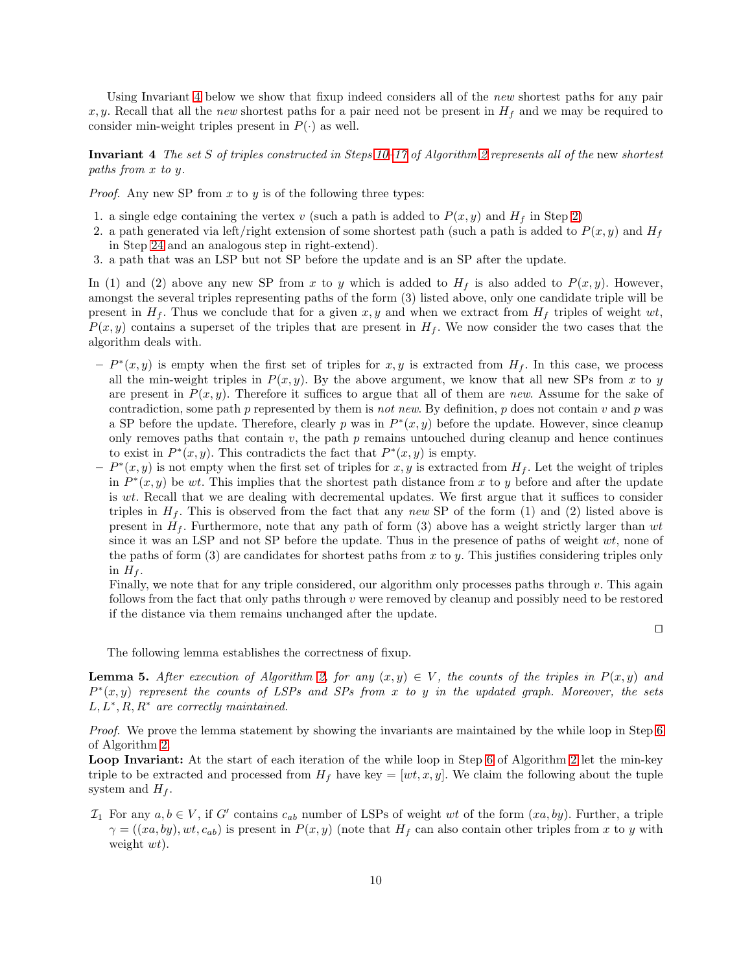<span id="page-9-0"></span>Using Invariant [4](#page-9-0) below we show that fixup indeed considers all of the new shortest paths for any pair x, y. Recall that all the new shortest paths for a pair need not be present in  $H_f$  and we may be required to consider min-weight triples present in  $P(\cdot)$  as well.

Invariant 4 The set S of triples constructed in Steps  $10-17$  of Algorithm [2](#page-8-0) represents all of the new shortest paths from x to y.

*Proof.* Any new SP from  $x$  to  $y$  is of the following three types:

- 1. a single edge containing the vertex v (such a path is added to  $P(x, y)$  and  $H_f$  in Step [2\)](#page-8-1)
- 2. a path generated via left/right extension of some shortest path (such a path is added to  $P(x, y)$  and  $H_f$ in Step [24](#page-8-10) and an analogous step in right-extend).
- 3. a path that was an LSP but not SP before the update and is an SP after the update.

In (1) and (2) above any new SP from x to y which is added to  $H_f$  is also added to  $P(x, y)$ . However, amongst the several triples representing paths of the form (3) listed above, only one candidate triple will be present in  $H_f$ . Thus we conclude that for a given x, y and when we extract from  $H_f$  triples of weight wt,  $P(x, y)$  contains a superset of the triples that are present in  $H_f$ . We now consider the two cases that the algorithm deals with.

- $-P^*(x, y)$  is empty when the first set of triples for  $x, y$  is extracted from  $H_f$ . In this case, we process all the min-weight triples in  $P(x, y)$ . By the above argument, we know that all new SPs from x to y are present in  $P(x, y)$ . Therefore it suffices to argue that all of them are new. Assume for the sake of contradiction, some path p represented by them is not new. By definition, p does not contain v and p was a SP before the update. Therefore, clearly p was in  $P^*(x, y)$  before the update. However, since cleanup only removes paths that contain  $v$ , the path  $p$  remains untouched during cleanup and hence continues to exist in  $P^*(x, y)$ . This contradicts the fact that  $P^*(x, y)$  is empty.
- $-P^*(x, y)$  is not empty when the first set of triples for x, y is extracted from  $H_f$ . Let the weight of triples in  $P^*(x, y)$  be wt. This implies that the shortest path distance from x to y before and after the update is wt. Recall that we are dealing with decremental updates. We first argue that it suffices to consider triples in  $H_f$ . This is observed from the fact that any new SP of the form (1) and (2) listed above is present in  $H_f$ . Furthermore, note that any path of form (3) above has a weight strictly larger than wt since it was an LSP and not SP before the update. Thus in the presence of paths of weight  $wt$ , none of the paths of form  $(3)$  are candidates for shortest paths from x to y. This justifies considering triples only in  $H_f$ .

Finally, we note that for any triple considered, our algorithm only processes paths through  $v$ . This again follows from the fact that only paths through  $v$  were removed by cleanup and possibly need to be restored if the distance via them remains unchanged after the update.

⊓⊔

<span id="page-9-1"></span>The following lemma establishes the correctness of fixup.

**Lemma 5.** After execution of Algorithm [2,](#page-8-0) for any  $(x, y) \in V$ , the counts of the triples in  $P(x, y)$  and  $P^*(x, y)$  represent the counts of LSPs and SPs from x to y in the updated graph. Moreover, the sets  $L, L^*, R, R^*$  are correctly maintained.

Proof. We prove the lemma statement by showing the invariants are maintained by the while loop in Step [6](#page-8-11) of Algorithm [2.](#page-8-0)

Loop Invariant: At the start of each iteration of the while loop in Step [6](#page-8-11) of Algorithm [2](#page-8-0) let the min-key triple to be extracted and processed from  $H_f$  have key = [wt, x, y]. We claim the following about the tuple system and  $H_f$ .

 $\mathcal{I}_1$  For any  $a, b \in V$ , if G' contains  $c_{ab}$  number of LSPs of weight wt of the form  $(xa, by)$ . Further, a triple  $\gamma = ((xa, by), wt, c_{ab})$  is present in  $P(x, y)$  (note that  $H_f$  can also contain other triples from x to y with weight  $wt$ ).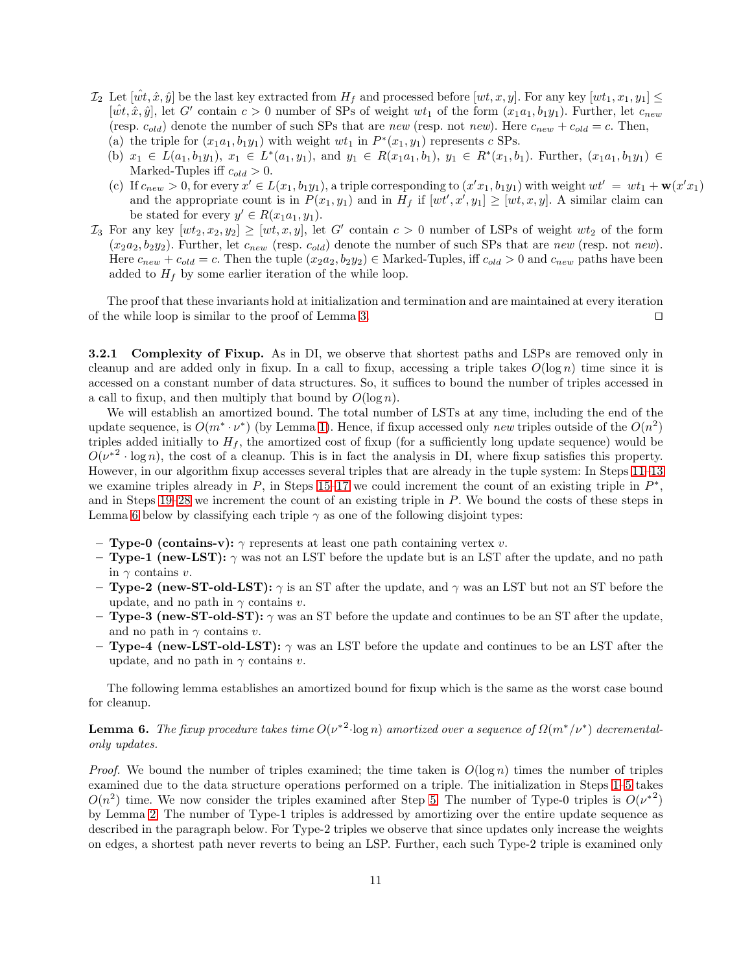- $\mathcal{I}_2$  Let  $[\hat{wt}, \hat{x}, \hat{y}]$  be the last key extracted from  $H_f$  and processed before  $[wt, x, y]$ . For any key  $[wt_1, x_1, y_1] \leq$  $[\hat{wt}, \hat{x}, \hat{y}]$ , let G' contain  $c > 0$  number of SPs of weight  $wt_1$  of the form  $(x_1a_1, b_1y_1)$ . Further, let  $c_{new}$ (resp.  $c_{old}$ ) denote the number of such SPs that are new (resp. not new). Here  $c_{new} + c_{old} = c$ . Then,
	- (a) the triple for  $(x_1a_1, b_1y_1)$  with weight  $wt_1$  in  $P^*(x_1, y_1)$  represents c SPs.
	- (b)  $x_1 \in L(a_1, b_1y_1), x_1 \in L^*(a_1, y_1), \text{ and } y_1 \in R(x_1a_1, b_1), y_1 \in R^*(x_1, b_1).$  Further,  $(x_1a_1, b_1y_1) \in L^*(a_1, b_1y_1)$ Marked-Tuples iff  $c_{old} > 0$ .
	- (c) If  $c_{new} > 0$ , for every  $x' \in L(x_1, b_1y_1)$ , a triple corresponding to  $(x'x_1, b_1y_1)$  with weight  $wt' = wt_1 + \mathbf{w}(x'x_1)$ and the appropriate count is in  $P(x_1, y_1)$  and in  $H_f$  if  $[wt', x', y_1] \geq [wt, x, y]$ . A similar claim can be stated for every  $y' \in R(x_1a_1, y_1)$ .
- $\mathcal{I}_3$  For any key  $[wt_2, x_2, y_2] \geq [wt, x, y]$ , let G' contain  $c > 0$  number of LSPs of weight  $wt_2$  of the form  $(x_2a_2, b_2y_2)$ . Further, let  $c_{new}$  (resp.  $c_{old}$ ) denote the number of such SPs that are new (resp. not new). Here  $c_{new} + c_{old} = c$ . Then the tuple  $(x_2a_2, b_2y_2) \in \text{Marked-Tuples}, \text{iff } c_{old} > 0 \text{ and } c_{new} \text{ paths have been}$ added to  $H_f$  by some earlier iteration of the while loop.

The proof that these invariants hold at initialization and termination and are maintained at every iteration of the while loop is similar to the proof of Lemma [3.](#page-6-0) ⊓⊔

**3.2.1 Complexity of Fixup.** As in DI, we observe that shortest paths and LSPs are removed only in cleanup and are added only in fixup. In a call to fixup, accessing a triple takes  $O(\log n)$  time since it is accessed on a constant number of data structures. So, it suffices to bound the number of triples accessed in a call to fixup, and then multiply that bound by  $O(\log n)$ .

We will establish an amortized bound. The total number of LSTs at any time, including the end of the update sequence, is  $O(m^*\cdot \nu^*)$  (by Lemma [1\)](#page-4-2). Hence, if fixup accessed only new triples outside of the  $O(n^2)$ triples added initially to  $H_f$ , the amortized cost of fixup (for a sufficiently long update sequence) would be  $O(\nu^{*2} \cdot \log n)$ , the cost of a cleanup. This is in fact the analysis in DI, where fixup satisfies this property. However, in our algorithm fixup accesses several triples that are already in the tuple system: In Steps [11–](#page-8-12)[13](#page-8-13) we examine triples already in  $P$ , in Steps [15–](#page-8-14)[17](#page-8-4) we could increment the count of an existing triple in  $P^*$ , and in Steps [19](#page-8-6)[–28](#page-8-8) we increment the count of an existing triple in P. We bound the costs of these steps in Lemma [6](#page-10-0) below by classifying each triple  $\gamma$  as one of the following disjoint types:

- **Type-0 (contains-v):**  $\gamma$  represents at least one path containing vertex v.
- **Type-1** (new-LST):  $\gamma$  was not an LST before the update but is an LST after the update, and no path in  $\gamma$  contains v.
- Type-2 (new-ST-old-LST):  $\gamma$  is an ST after the update, and  $\gamma$  was an LST but not an ST before the update, and no path in  $\gamma$  contains v.
- **Type-3 (new-ST-old-ST):**  $\gamma$  was an ST before the update and continues to be an ST after the update, and no path in  $\gamma$  contains v.
- **Type-4 (new-LST-old-LST):**  $\gamma$  was an LST before the update and continues to be an LST after the update, and no path in  $\gamma$  contains v.

<span id="page-10-0"></span>The following lemma establishes an amortized bound for fixup which is the same as the worst case bound for cleanup.

# **Lemma 6.** The fixup procedure takes time  $O(\nu^{*2} \cdot \log n)$  amortized over a sequence of  $\Omega(m^*/\nu^*)$  decrementalonly updates.

*Proof.* We bound the number of triples examined; the time taken is  $O(\log n)$  times the number of triples examined due to the data structure operations performed on a triple. The initialization in Steps [1](#page-8-15)[–5](#page-8-2) takes  $O(n^2)$  time. We now consider the triples examined after Step [5.](#page-8-2) The number of Type-0 triples is  $O(\nu^{*2})$ by Lemma [2.](#page-4-1) The number of Type-1 triples is addressed by amortizing over the entire update sequence as described in the paragraph below. For Type-2 triples we observe that since updates only increase the weights on edges, a shortest path never reverts to being an LSP. Further, each such Type-2 triple is examined only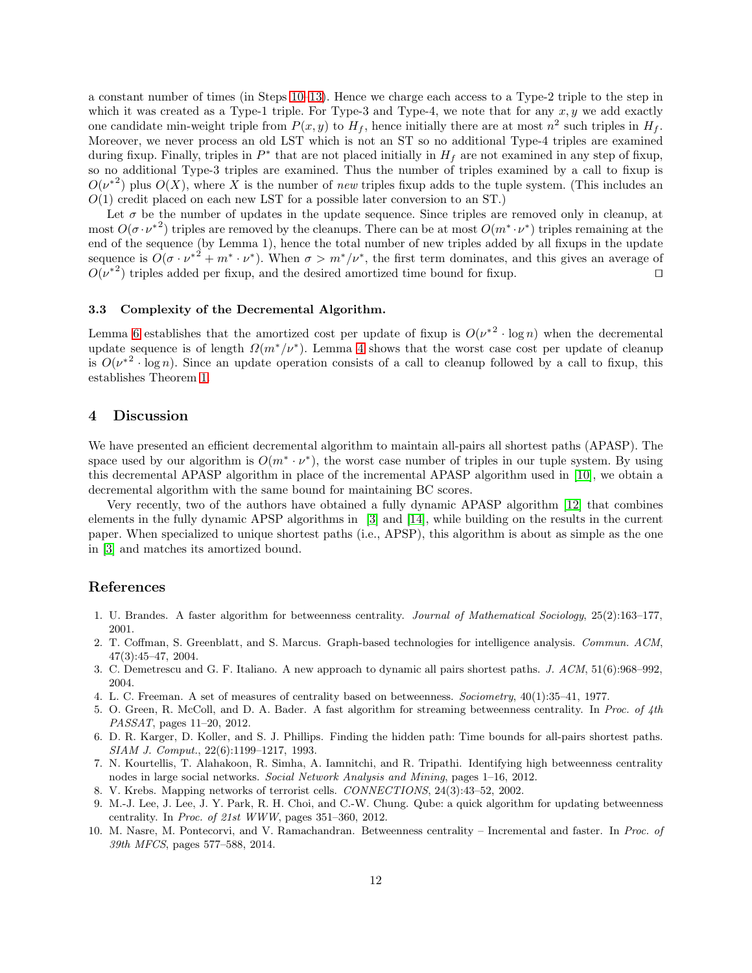a constant number of times (in Steps [10](#page-8-3)[–13\)](#page-8-13). Hence we charge each access to a Type-2 triple to the step in which it was created as a Type-1 triple. For Type-3 and Type-4, we note that for any  $x, y$  we add exactly one candidate min-weight triple from  $P(x, y)$  to  $H_f$ , hence initially there are at most  $n^2$  such triples in  $H_f$ . Moreover, we never process an old LST which is not an ST so no additional Type-4 triples are examined during fixup. Finally, triples in  $P^*$  that are not placed initially in  $H_f$  are not examined in any step of fixup, so no additional Type-3 triples are examined. Thus the number of triples examined by a call to fixup is  $O(\nu^{*2})$  plus  $O(X)$ , where X is the number of new triples fixup adds to the tuple system. (This includes an  $O(1)$  credit placed on each new LST for a possible later conversion to an ST.)

Let  $\sigma$  be the number of updates in the update sequence. Since triples are removed only in cleanup, at most  $O(\sigma \cdot \nu^{*2})$  triples are removed by the cleanups. There can be at most  $O(m^* \cdot \nu^*)$  triples remaining at the end of the sequence (by Lemma 1), hence the total number of new triples added by all fixups in the update sequence is  $O(\sigma \cdot \nu^{*2} + m^* \cdot \nu^*)$ . When  $\sigma > m^*/\nu^*$ , the first term dominates, and this gives an average of  $O(\nu^{*2})$  triples added per fixup, and the desired amortized time bound for fixup. □

#### 3.3 Complexity of the Decremental Algorithm.

Lemma [6](#page-10-0) establishes that the amortized cost per update of fixup is  $O(\nu^{*2} \cdot \log n)$  when the decremental update sequence is of length  $\Omega(m^*/\nu^*)$ . Lemma [4](#page-6-1) shows that the worst case cost per update of cleanup is  $O(\nu^{*2} \cdot \log n)$ . Since an update operation consists of a call to cleanup followed by a call to fixup, this establishes Theorem [1.](#page-1-1)

## 4 Discussion

We have presented an efficient decremental algorithm to maintain all-pairs all shortest paths (APASP). The space used by our algorithm is  $O(m^* \cdot \nu^*)$ , the worst case number of triples in our tuple system. By using this decremental APASP algorithm in place of the incremental APASP algorithm used in [\[10\]](#page-11-8), we obtain a decremental algorithm with the same bound for maintaining BC scores.

Very recently, two of the authors have obtained a fully dynamic APASP algorithm [\[12\]](#page-12-3) that combines elements in the fully dynamic APSP algorithms in [\[3\]](#page-11-0) and [\[14\]](#page-12-0), while building on the results in the current paper. When specialized to unique shortest paths (i.e., APSP), this algorithm is about as simple as the one in [\[3\]](#page-11-0) and matches its amortized bound.

# References

- <span id="page-11-7"></span><span id="page-11-3"></span>1. U. Brandes. A faster algorithm for betweenness centrality. Journal of Mathematical Sociology, 25(2):163–177, 2001.
- 2. T. Coffman, S. Greenblatt, and S. Marcus. Graph-based technologies for intelligence analysis. Commun. ACM, 47(3):45–47, 2004.
- <span id="page-11-1"></span><span id="page-11-0"></span>3. C. Demetrescu and G. F. Italiano. A new approach to dynamic all pairs shortest paths. J. ACM, 51(6):968–992, 2004.
- <span id="page-11-5"></span>4. L. C. Freeman. A set of measures of centrality based on betweenness. Sociometry, 40(1):35–41, 1977.
- 5. O. Green, R. McColl, and D. A. Bader. A fast algorithm for streaming betweenness centrality. In Proc. of 4th PASSAT, pages 11–20, 2012.
- <span id="page-11-9"></span>6. D. R. Karger, D. Koller, and S. J. Phillips. Finding the hidden path: Time bounds for all-pairs shortest paths. SIAM J. Comput., 22(6):1199–1217, 1993.
- <span id="page-11-2"></span>7. N. Kourtellis, T. Alahakoon, R. Simha, A. Iamnitchi, and R. Tripathi. Identifying high betweenness centrality nodes in large social networks. Social Network Analysis and Mining, pages 1–16, 2012.
- <span id="page-11-6"></span><span id="page-11-4"></span>8. V. Krebs. Mapping networks of terrorist cells. CONNECTIONS, 24(3):43–52, 2002.
- 9. M.-J. Lee, J. Lee, J. Y. Park, R. H. Choi, and C.-W. Chung. Qube: a quick algorithm for updating betweenness centrality. In Proc. of 21st WWW, pages 351–360, 2012.
- <span id="page-11-8"></span>10. M. Nasre, M. Pontecorvi, and V. Ramachandran. Betweenness centrality – Incremental and faster. In Proc. of 39th MFCS, pages 577–588, 2014.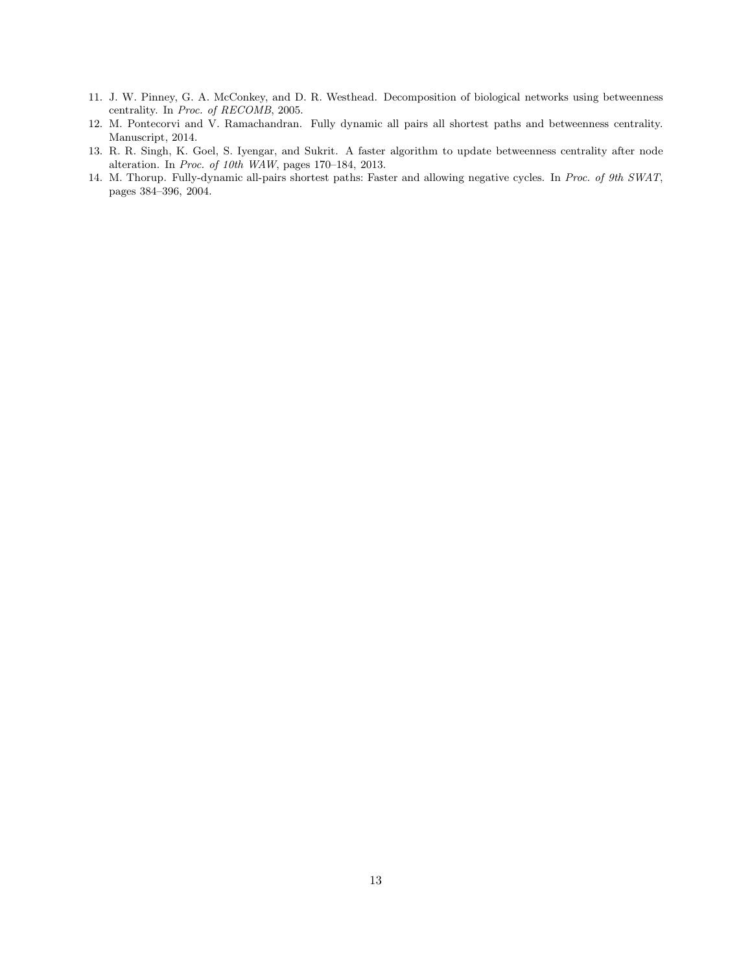- <span id="page-12-1"></span>11. J. W. Pinney, G. A. McConkey, and D. R. Westhead. Decomposition of biological networks using betweenness centrality. In Proc. of RECOMB, 2005.
- <span id="page-12-3"></span>12. M. Pontecorvi and V. Ramachandran. Fully dynamic all pairs all shortest paths and betweenness centrality. Manuscript, 2014.
- <span id="page-12-2"></span>13. R. R. Singh, K. Goel, S. Iyengar, and Sukrit. A faster algorithm to update betweenness centrality after node alteration. In Proc. of 10th WAW, pages 170–184, 2013.
- <span id="page-12-0"></span>14. M. Thorup. Fully-dynamic all-pairs shortest paths: Faster and allowing negative cycles. In Proc. of 9th SWAT, pages 384–396, 2004.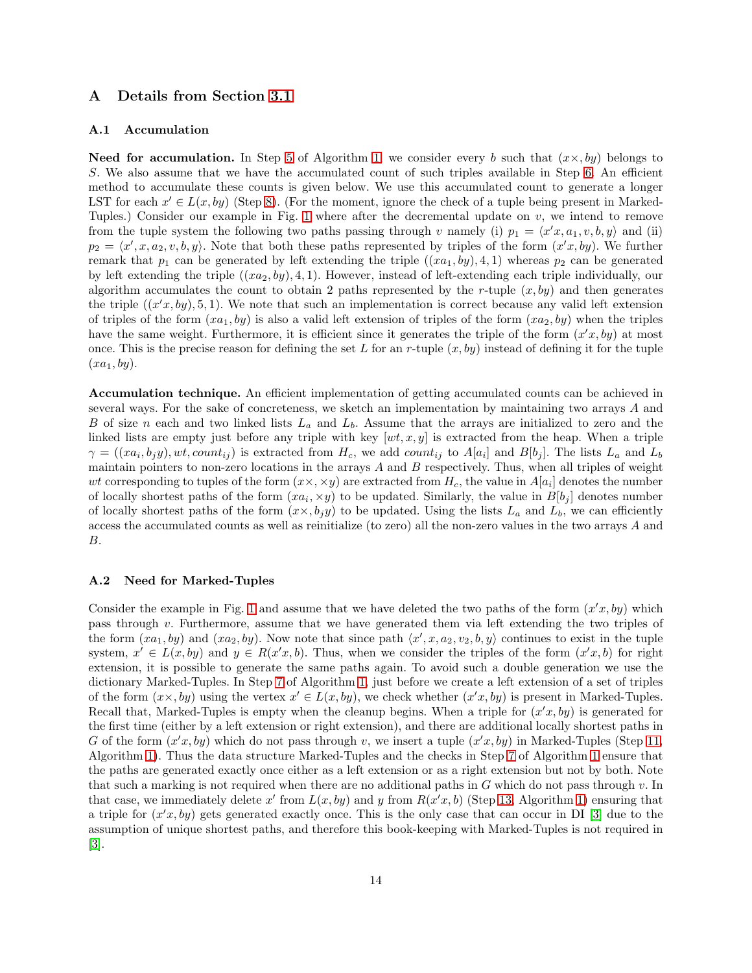# <span id="page-13-0"></span>A Details from Section [3.1](#page-5-10)

#### A.1 Accumulation

**Need for accumulation.** In Step [5](#page-5-3) of Algorithm [1,](#page-5-0) we consider every b such that  $(x \times, by)$  belongs to S. We also assume that we have the accumulated count of such triples available in Step [6.](#page-5-11) An efficient method to accumulate these counts is given below. We use this accumulated count to generate a longer LST for each  $x' \in L(x, by)$  (Step [8\)](#page-5-12). (For the moment, ignore the check of a tuple being present in Marked-Tuples.) Consider our example in Fig. [1](#page-2-0) where after the decremental update on  $v$ , we intend to remove from the tuple system the following two paths passing through v namely (i)  $p_1 = \langle x'x, a_1, v, b, y \rangle$  and (ii)  $p_2 = \langle x', x, a_2, v, b, y \rangle$ . Note that both these paths represented by triples of the form  $(x'x, by)$ . We further remark that  $p_1$  can be generated by left extending the triple  $((xa_1, by), 4, 1)$  whereas  $p_2$  can be generated by left extending the triple  $((xa_2, by), 4, 1)$ . However, instead of left-extending each triple individually, our algorithm accumulates the count to obtain 2 paths represented by the r-tuple  $(x, by)$  and then generates the triple  $((x'x, by), 5, 1)$ . We note that such an implementation is correct because any valid left extension of triples of the form  $(xa_1, by)$  is also a valid left extension of triples of the form  $(xa_2, by)$  when the triples have the same weight. Furthermore, it is efficient since it generates the triple of the form  $(x', by)$  at most once. This is the precise reason for defining the set L for an r-tuple  $(x, by)$  instead of defining it for the tuple  $(xa_1, by)$ .

Accumulation technique. An efficient implementation of getting accumulated counts can be achieved in several ways. For the sake of concreteness, we sketch an implementation by maintaining two arrays A and B of size n each and two linked lists  $L_a$  and  $L_b$ . Assume that the arrays are initialized to zero and the linked lists are empty just before any triple with key  $[wt, x, y]$  is extracted from the heap. When a triple  $\gamma = ((xa_i, b_jy), wt, count_{ij})$  is extracted from  $H_c$ , we add count<sub>ij</sub> to  $A[a_i]$  and  $B[b_j]$ . The lists  $L_a$  and  $L_b$ maintain pointers to non-zero locations in the arrays  $A$  and  $B$  respectively. Thus, when all triples of weight wt corresponding to tuples of the form  $(x \times, \times y)$  are extracted from  $H_c$ , the value in  $A[a_i]$  denotes the number of locally shortest paths of the form  $(xa_i, \times y)$  to be updated. Similarly, the value in  $B[b_j]$  denotes number of locally shortest paths of the form  $(x \times, b_j y)$  to be updated. Using the lists  $L_a$  and  $L_b$ , we can efficiently access the accumulated counts as well as reinitialize (to zero) all the non-zero values in the two arrays A and B.

#### <span id="page-13-1"></span>A.2 Need for Marked-Tuples

Consider the example in Fig. [1](#page-2-0) and assume that we have deleted the two paths of the form  $(x'x, by)$  which pass through v. Furthermore, assume that we have generated them via left extending the two triples of the form  $(xa_1, by)$  and  $(xa_2, by)$ . Now note that since path  $\langle x', x, a_2, v_2, b, y \rangle$  continues to exist in the tuple system,  $x' \in L(x, by)$  and  $y \in R(x'x, b)$ . Thus, when we consider the triples of the form  $(x'x, b)$  for right extension, it is possible to generate the same paths again. To avoid such a double generation we use the dictionary Marked-Tuples. In Step [7](#page-5-6) of Algorithm [1,](#page-5-0) just before we create a left extension of a set of triples of the form  $(x \times, by)$  using the vertex  $x' \in L(x, by)$ , we check whether  $(x'x, by)$  is present in Marked-Tuples. Recall that, Marked-Tuples is empty when the cleanup begins. When a triple for  $(x'x, by)$  is generated for the first time (either by a left extension or right extension), and there are additional locally shortest paths in G of the form  $(x'x, by)$  which do not pass through v, we insert a tuple  $(x'x, by)$  in Marked-Tuples (Step [11,](#page-5-7) Algorithm [1\)](#page-5-0). Thus the data structure Marked-Tuples and the checks in Step [7](#page-5-6) of Algorithm [1](#page-5-0) ensure that the paths are generated exactly once either as a left extension or as a right extension but not by both. Note that such a marking is not required when there are no additional paths in  $G$  which do not pass through  $v$ . In that case, we immediately delete x' from  $L(x, by)$  and y from  $R(x',b)$  (Step [13,](#page-5-13) Algorithm [1\)](#page-5-0) ensuring that a triple for  $(x', by)$  gets generated exactly once. This is the only case that can occur in DI [\[3\]](#page-11-0) due to the assumption of unique shortest paths, and therefore this book-keeping with Marked-Tuples is not required in [\[3\]](#page-11-0).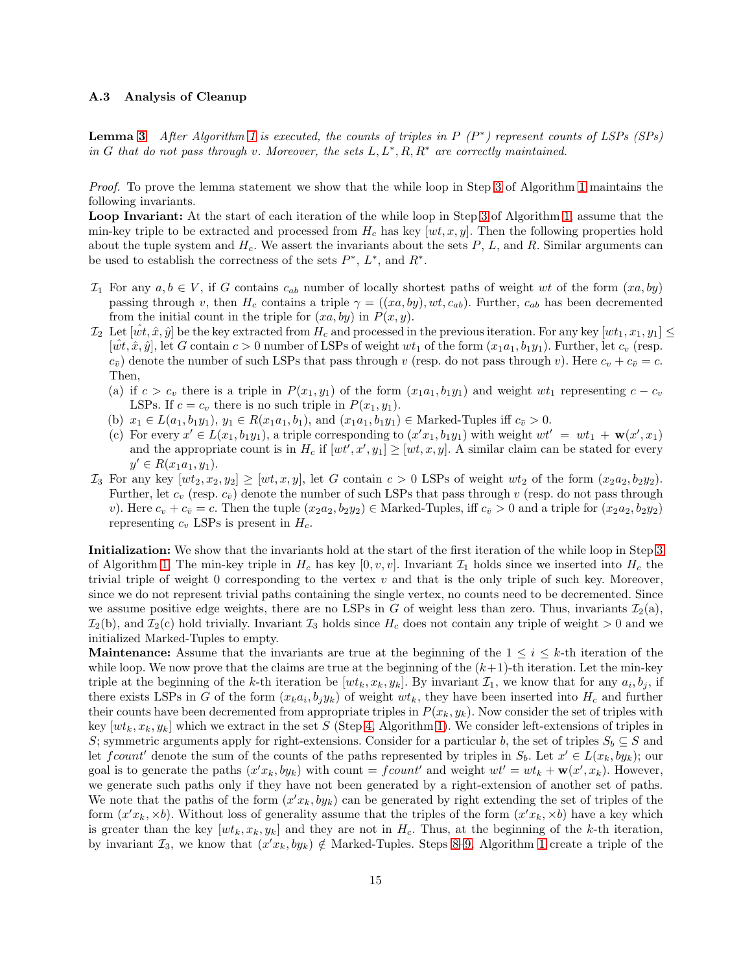#### <span id="page-14-0"></span>A.3 Analysis of Cleanup

**Lemma [3](#page-6-0)** After Algorithm [1](#page-5-0) is executed, the counts of triples in  $P(P^*)$  represent counts of LSPs (SPs) in G that do not pass through v. Moreover, the sets  $L, L^*, R, R^*$  are correctly maintained.

Proof. To prove the lemma statement we show that the while loop in Step [3](#page-5-8) of Algorithm [1](#page-5-0) maintains the following invariants.

Loop Invariant: At the start of each iteration of the while loop in Step [3](#page-5-8) of Algorithm [1,](#page-5-0) assume that the min-key triple to be extracted and processed from  $H_c$  has key  $[wt, x, y]$ . Then the following properties hold about the tuple system and  $H_c$ . We assert the invariants about the sets  $P$ ,  $L$ , and  $R$ . Similar arguments can be used to establish the correctness of the sets  $P^*$ ,  $L^*$ , and  $R^*$ .

- $\mathcal{I}_1$  For any  $a, b \in V$ , if G contains  $c_{ab}$  number of locally shortest paths of weight wt of the form  $(xa, by)$ passing through v, then  $H_c$  contains a triple  $\gamma = ((xa, by), wt, c_{ab})$ . Further,  $c_{ab}$  has been decremented from the initial count in the triple for  $(xa, by)$  in  $P(x, y)$ .
- $\mathcal{I}_2$  Let  $[\hat{wt}, \hat{x}, \hat{y}]$  be the key extracted from  $H_c$  and processed in the previous iteration. For any key  $[wt_1, x_1, y_1] \leq$  $[wt, \hat{x}, \hat{y}]$ , let G contain  $c > 0$  number of LSPs of weight  $wt_1$  of the form  $(x_1a_1, b_1y_1)$ . Further, let  $c_v$  (resp.  $(c_{\bar{v}})$  denote the number of such LSPs that pass through v (resp. do not pass through v). Here  $c_v + c_{\bar{v}} = c$ . Then,
	- (a) if  $c > c_v$  there is a triple in  $P(x_1, y_1)$  of the form  $(x_1a_1, b_1y_1)$  and weight wt<sub>1</sub> representing  $c c_v$ LSPs. If  $c = c_v$  there is no such triple in  $P(x_1, y_1)$ .
	- (b)  $x_1 \in L(a_1, b_1y_1), y_1 \in R(x_1a_1, b_1),$  and  $(x_1a_1, b_1y_1) \in \text{Marked-Tuples iff } c_{\bar{v}} > 0.$
	- (c) For every  $x' \in L(x_1, b_1y_1)$ , a triple corresponding to  $(x'x_1, b_1y_1)$  with weight  $wt' = wt_1 + \mathbf{w}(x', x_1)$ and the appropriate count is in  $H_c$  if  $[wt', x', y_1] \geq [wt, x, y]$ . A similar claim can be stated for every  $y' \in R(x_1a_1, y_1).$
- $\mathcal{I}_3$  For any key  $[wt_2, x_2, y_2] \geq [wt, x, y]$ , let G contain  $c > 0$  LSPs of weight  $wt_2$  of the form  $(x_2a_2, b_2y_2)$ . Further, let  $c_v$  (resp.  $c_{\bar{v}}$ ) denote the number of such LSPs that pass through v (resp. do not pass through v). Here  $c_v + c_{\bar{v}} = c$ . Then the tuple  $(x_2a_2, b_2y_2) \in \text{Marked-Tuples}$ , iff  $c_{\bar{v}} > 0$  and a triple for  $(x_2a_2, b_2y_2)$ representing  $c_v$  LSPs is present in  $H_c$ .

Initialization: We show that the invariants hold at the start of the first iteration of the while loop in Step [3](#page-5-8) of Algorithm [1.](#page-5-0) The min-key triple in  $H_c$  has key [0, v, v]. Invariant  $\mathcal{I}_1$  holds since we inserted into  $H_c$  the trivial triple of weight 0 corresponding to the vertex  $v$  and that is the only triple of such key. Moreover, since we do not represent trivial paths containing the single vertex, no counts need to be decremented. Since we assume positive edge weights, there are no LSPs in G of weight less than zero. Thus, invariants  $\mathcal{I}_2(a)$ ,  $\mathcal{I}_2(b)$ , and  $\mathcal{I}_2(c)$  hold trivially. Invariant  $\mathcal{I}_3$  holds since  $H_c$  does not contain any triple of weight  $>0$  and we initialized Marked-Tuples to empty.

**Maintenance:** Assume that the invariants are true at the beginning of the  $1 \leq i \leq k$ -th iteration of the while loop. We now prove that the claims are true at the beginning of the  $(k+1)$ -th iteration. Let the min-key triple at the beginning of the k-th iteration be  $[wt_k, x_k, y_k]$ . By invariant  $\mathcal{I}_1$ , we know that for any  $a_i, b_j$ , if there exists LSPs in G of the form  $(x_k a_i, b_j y_k)$  of weight  $wt_k$ , they have been inserted into  $H_c$  and further their counts have been decremented from appropriate triples in  $P(x_k, y_k)$ . Now consider the set of triples with key  $[wt_k, x_k, y_k]$  which we extract in the set S (Step [4,](#page-5-2) Algorithm [1\)](#page-5-0). We consider left-extensions of triples in S; symmetric arguments apply for right-extensions. Consider for a particular b, the set of triples  $S_b \subseteq S$  and let  $fcount'$  denote the sum of the counts of the paths represented by triples in  $S_b$ . Let  $x' \in L(x_k, by_k)$ ; our goal is to generate the paths  $(x'x_k, by_k)$  with count = fcount' and weight  $wt' = wt_k + \mathbf{w}(x', x_k)$ . However, we generate such paths only if they have not been generated by a right-extension of another set of paths. We note that the paths of the form  $(x'x_k, by_k)$  can be generated by right extending the set of triples of the form  $(x'x_k, \times b)$ . Without loss of generality assume that the triples of the form  $(x'x_k, \times b)$  have a key which is greater than the key  $[wt_k, x_k, y_k]$  and they are not in  $H_c$ . Thus, at the beginning of the k-th iteration, by invariant  $\mathcal{I}_3$ , we know that  $(x'x_k, by_k) \notin \text{Market-Tuples. Steps } 8-9$ , Algorithm [1](#page-5-0) create a triple of the